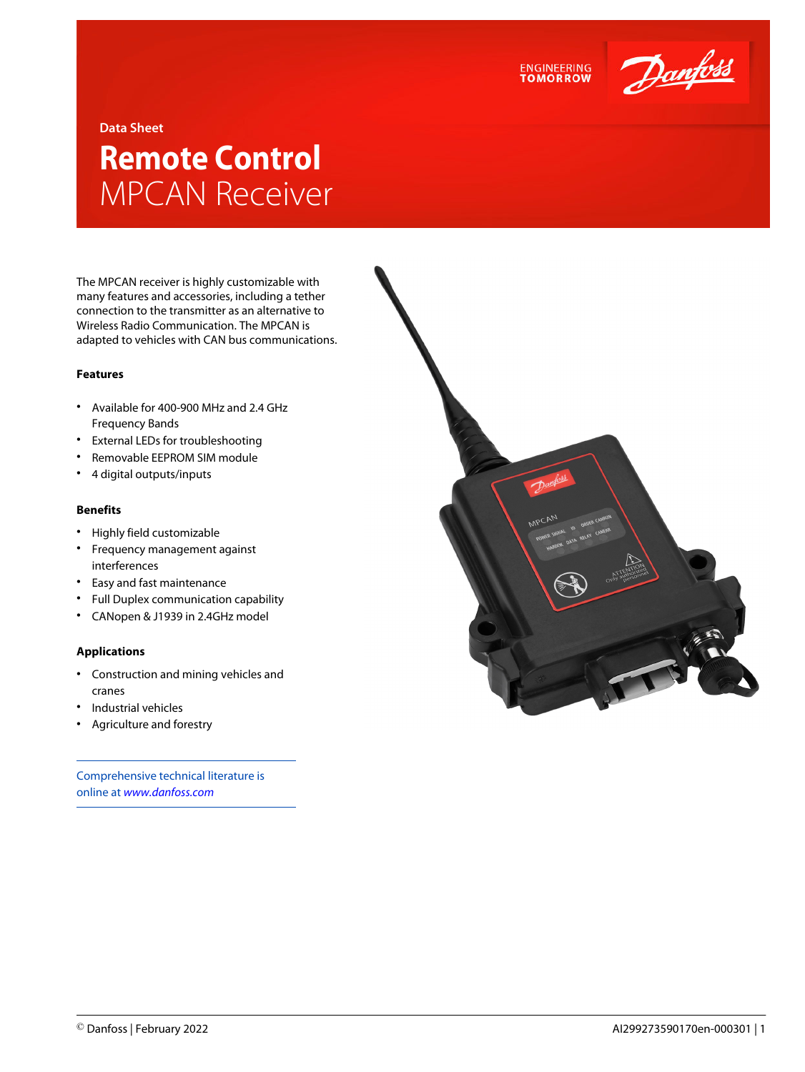

**ENGINEERING**<br>TOMORROW

### **Data Sheet**

# **Remote Control** MPCAN Receiver

The MPCAN receiver is highly customizable with many features and accessories, including a tether connection to the transmitter as an alternative to Wireless Radio Communication. The MPCAN is adapted to vehicles with CAN bus communications.

## **Features**

- Available for 400-900 MHz and 2.4 GHz Frequency Bands
- External LEDs for troubleshooting
- Removable EEPROM SIM module
- 4 digital outputs/inputs

## **Benefits**

- Highly field customizable
- Frequency management against interferences
- Easy and fast maintenance
- Full Duplex communication capability
- CANopen & J1939 in 2.4GHz model

#### **Applications**

- Construction and mining vehicles and cranes
- Industrial vehicles
- Agriculture and forestry

Comprehensive technical literature is online at *[www.danfoss.com](https://www.danfoss.com/en/search/?filter=type%3Adocumentation%2Csegment%3Adps)*